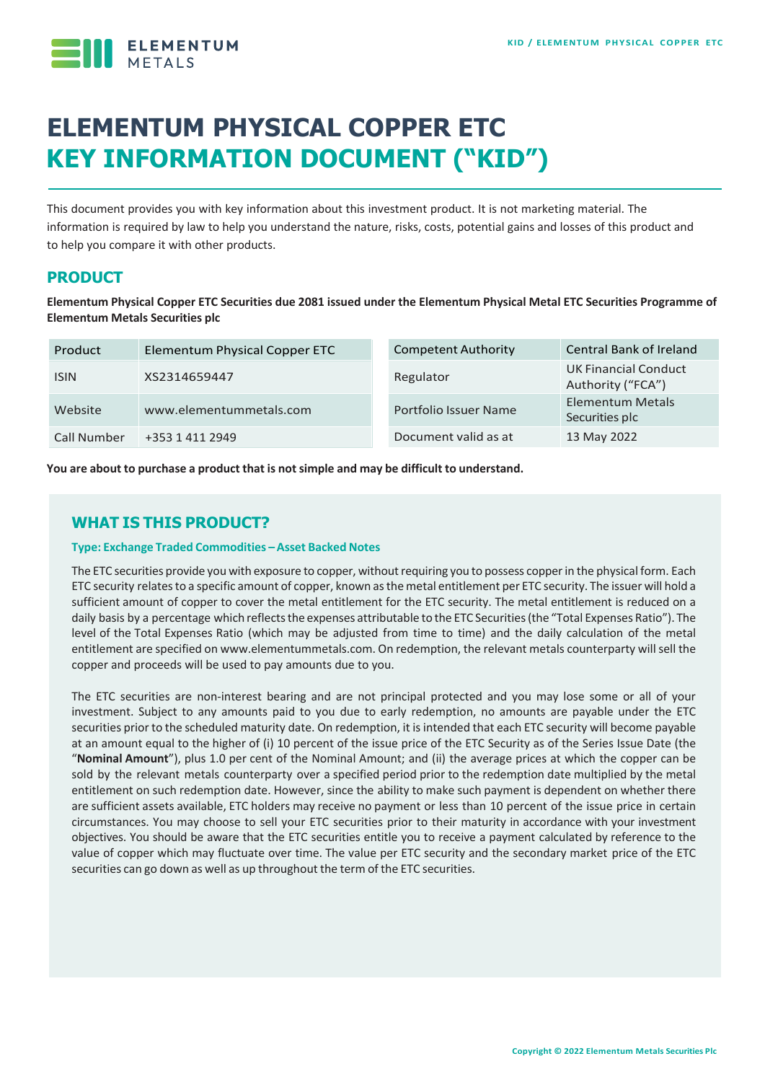

# **ELEMENTUM PHYSICAL COPPER ETC KEY INFORMATION DOCUMENT ("KID")**

This document provides you with key information about this investment product. It is not marketing material. The information is required by law to help you understand the nature, risks, costs, potential gains and losses of this product and to help you compare it with other products.

## **PRODUCT**

**Elementum Physical Copper ETC Securities due 2081 issued under the Elementum Physical Metal ETC Securities Programme of Elementum Metals Securities plc**

| Product     | Elementum Physical Copper ETC | <b>Competent Authority</b> | <b>Central Bank of Ireland</b>                   |
|-------------|-------------------------------|----------------------------|--------------------------------------------------|
| <b>ISIN</b> | XS2314659447                  | Regulator                  | <b>UK Financial Conduct</b><br>Authority ("FCA") |
| Website     | www.elementummetals.com       | Portfolio Issuer Name      | <b>Elementum Metals</b><br>Securities plc        |
| Call Number | +353 1 411 2949               | Document valid as at       | 13 May 2022                                      |

**You are about to purchase a product that is notsimple and may be difficult to understand.**

# **WHAT IS THIS PRODUCT?**

#### **Type: Exchange Traded Commodities –Asset Backed Notes**

The ETC securities provide you with exposure to copper, without requiring you to possess copper in the physical form. Each ETC security relatesto a specific amount of copper, known asthe metal entitlement per ETC security. The issuer will hold a sufficient amount of copper to cover the metal entitlement for the ETC security. The metal entitlement is reduced on a daily basis by a percentage which reflects the expenses attributable to the ETC Securities (the "Total Expenses Ratio"). The level of the Total Expenses Ratio (which may be adjusted from time to time) and the daily calculation of the metal entitlement are specified on www.elementummetals.com. On redemption, the relevant metals counterparty willsell the copper and proceeds will be used to pay amounts due to you.

The ETC securities are non-interest bearing and are not principal protected and you may lose some or all of your investment. Subject to any amounts paid to you due to early redemption, no amounts are payable under the ETC securities prior to the scheduled maturity date. On redemption, it is intended that each ETC security will become payable at an amount equal to the higher of (i) 10 percent of the issue price of the ETC Security as of the Series Issue Date (the "**Nominal Amount**"), plus 1.0 per cent of the Nominal Amount; and (ii) the average prices at which the copper can be sold by the relevant metals counterparty over a specified period prior to the redemption date multiplied by the metal entitlement on such redemption date. However, since the ability to make such payment is dependent on whether there are sufficient assets available, ETC holders may receive no payment or less than 10 percent of the issue price in certain circumstances. You may choose to sell your ETC securities prior to their maturity in accordance with your investment objectives. You should be aware that the ETC securities entitle you to receive a payment calculated by reference to the value of copper which may fluctuate over time. The value per ETC security and the secondary market price of the ETC securities can go down as well as up throughout the term of the ETC securities.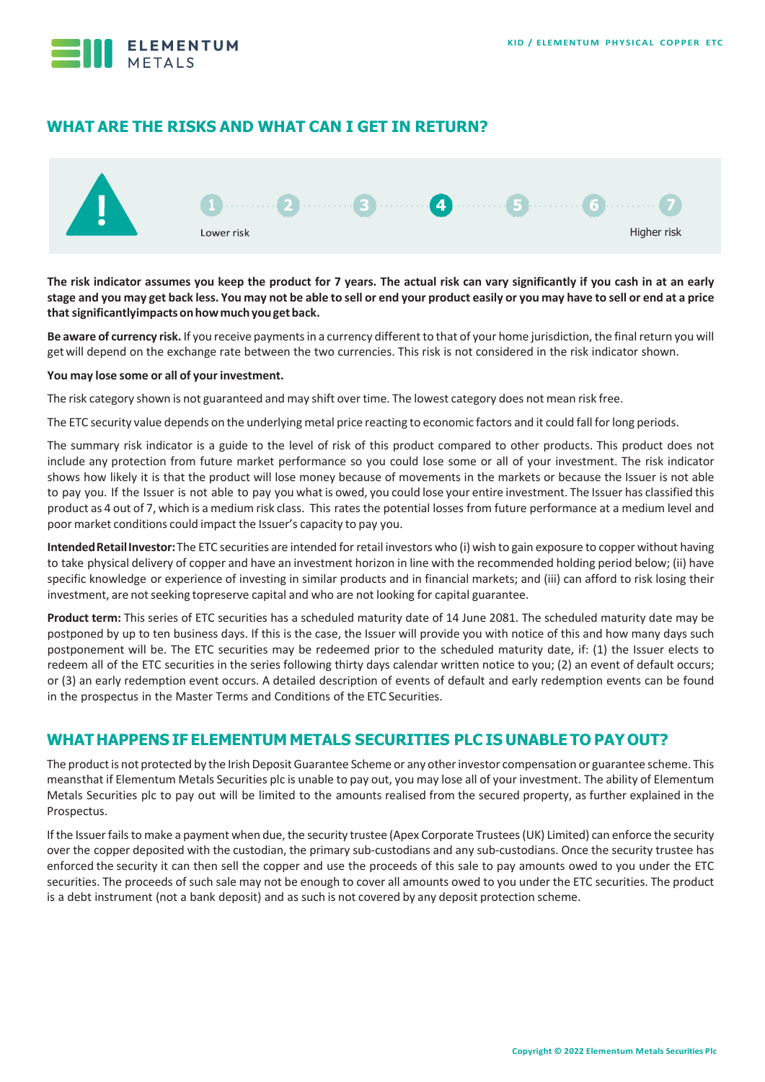

# **WHAT ARE THE RISKS AND WHAT CAN I GET IN RETURN?**



**The risk indicator assumes you keep the product for 7 years. The actual risk can vary significantly if you cash in at an early**  stage and you may get back less. You may not be able to sell or end your product easily or you may have to sell or end at a price **thatsignificantlyimpactsonhowmuchyougetback.**

Be aware of currency risk. If you receive payments in a currency different to that of your home jurisdiction, the final return you will getwill depend on the exchange rate between the two currencies. This risk is not considered in the risk indicator shown.

#### **You may lose some or all of your investment.**

The risk category shown is not guaranteed and may shift over time. The lowest category does not mean risk free.

The ETC security value depends on the underlying metal price reacting to economic factors and it could fall forlong periods.

The summary risk indicator is a guide to the level of risk of this product compared to other products. This product does not include any protection from future market performance so you could lose some or all of your investment. The risk indicator shows how likely it is that the product will lose money because of movements in the markets or because the Issuer is not able to pay you. If the Issuer is not able to pay you what is owed, you could lose your entire investment. The Issuer has classified this product as 4 out of 7, which is a medium risk class. This rates the potential losses from future performance at a medium level and poor market conditions could impact the Issuer's capacity to pay you.

**IntendedRetailInvestor:**The ETC securities are intended forretail investors who (i) wish to gain exposure to copper without having to take physical delivery of copper and have an investment horizon in line with the recommended holding period below; (ii) have specific knowledge or experience of investing in similar products and in financial markets; and (iii) can afford to risk losing their investment, are not seeking topreserve capital and who are not looking for capital guarantee.

**Product term:** This series of ETC securities has a scheduled maturity date of 14 June 2081. The scheduled maturity date may be postponed by up to ten business days. If this is the case, the Issuer will provide you with notice of this and how many days such postponement will be. The ETC securities may be redeemed prior to the scheduled maturity date, if: (1) the Issuer elects to redeem all of the ETC securities in the series following thirty days calendar written notice to you; (2) an event of default occurs; or (3) an early redemption event occurs. A detailed description of events of default and early redemption events can be found in the prospectus in the Master Terms and Conditions of the ETC Securities.

## **WHAT HAPPENS IF ELEMENTUM METALS SECURITIES PLC IS UNABLE TO PAYOUT?**

The product is not protected by the Irish Deposit Guarantee Scheme or any other investor compensation or guarantee scheme. This meansthat if Elementum Metals Securities plc is unable to pay out, you may lose all of your investment. The ability of Elementum Metals Securities plc to pay out will be limited to the amounts realised from the secured property, as further explained in the Prospectus.

If the Issuer fails to make a payment when due, the security trustee (Apex Corporate Trustees (UK) Limited) can enforce the security over the copper deposited with the custodian, the primary sub-custodians and any sub-custodians. Once the security trustee has enforced the security it can then sell the copper and use the proceeds of this sale to pay amounts owed to you under the ETC securities. The proceeds of such sale may not be enough to cover all amounts owed to you under the ETC securities. The product is a debt instrument (not a bank deposit) and as such is not covered by any deposit protection scheme.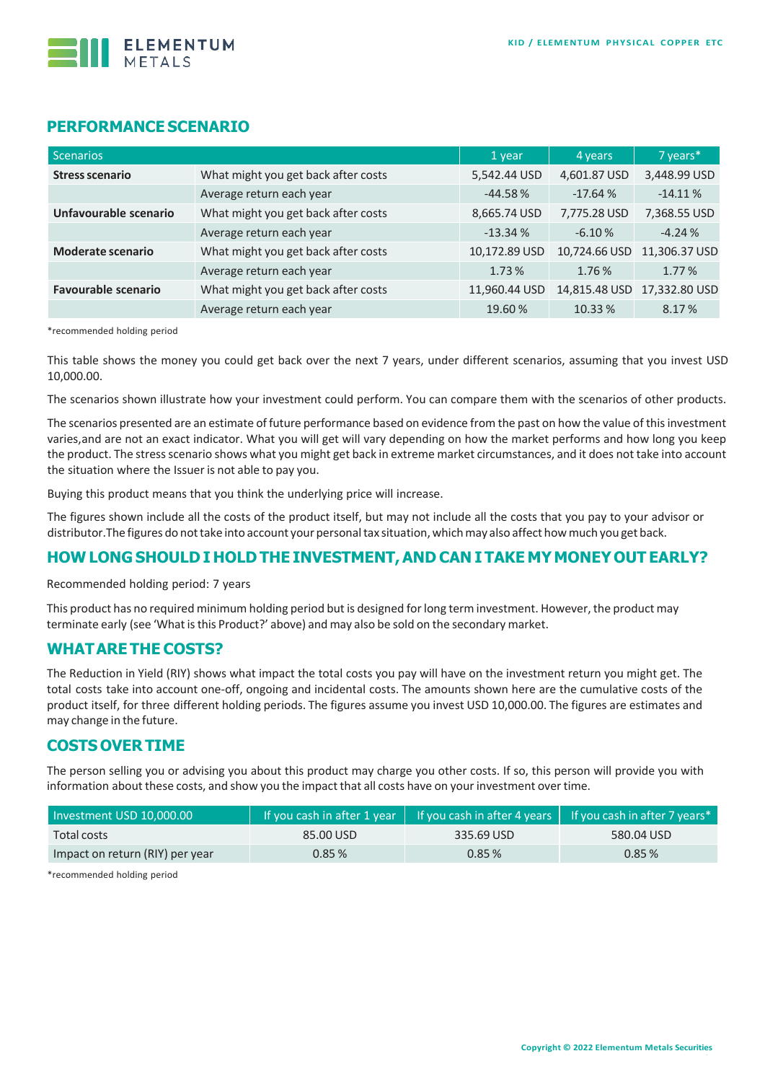

## **PERFORMANCE SCENARIO**

| <b>Scenarios</b>           |                                     | 1 year        | 4 years       | 7 years*      |
|----------------------------|-------------------------------------|---------------|---------------|---------------|
| <b>Stress scenario</b>     | What might you get back after costs | 5,542.44 USD  | 4,601.87 USD  | 3,448.99 USD  |
|                            | Average return each year            | $-44.58%$     | $-17.64%$     | $-14.11%$     |
| Unfavourable scenario      | What might you get back after costs | 8,665.74 USD  | 7,775.28 USD  | 7,368.55 USD  |
|                            | Average return each year            | $-13.34%$     | $-6.10%$      | $-4.24%$      |
| <b>Moderate scenario</b>   | What might you get back after costs | 10,172.89 USD | 10,724.66 USD | 11,306.37 USD |
|                            | Average return each year            | 1.73%         | 1.76%         | 1.77%         |
| <b>Favourable scenario</b> | What might you get back after costs | 11,960.44 USD | 14,815.48 USD | 17,332.80 USD |
|                            | Average return each year            | 19.60%        | 10.33 %       | 8.17%         |

\*recommended holding period

This table shows the money you could get back over the next 7 years, under different scenarios, assuming that you invest USD 10,000.00.

The scenarios shown illustrate how your investment could perform. You can compare them with the scenarios of other products.

The scenarios presented are an estimate of future performance based on evidence from the past on how the value of this investment varies,and are not an exact indicator. What you will get will vary depending on how the market performs and how long you keep the product. The stressscenario shows what you might get back in extreme market circumstances, and it does not take into account the situation where the Issuer is not able to pay you.

Buying this product means that you think the underlying price will increase.

The figures shown include all the costs of the product itself, but may not include all the costs that you pay to your advisor or distributor.The figures do nottake into account your personaltax situation, whichmay also affect howmuch you get back.

## **HOW LONG SHOULD I HOLD THE INVESTMENT,AND CAN I TAKE MY MONEY OUT EARLY?**

Recommended holding period: 7 years

This product has no required minimum holding period but is designed forlong term investment. However, the product may terminate early (see 'What is this Product?' above) and may also be sold on the secondary market.

#### **WHATARE THE COSTS?**

The Reduction in Yield (RIY) shows what impact the total costs you pay will have on the investment return you might get. The total costs take into account one-off, ongoing and incidental costs. The amounts shown here are the cumulative costs of the product itself, for three different holding periods. The figures assume you invest USD 10,000.00. The figures are estimates and may change in the future.

## **COSTS OVER TIME**

The person selling you or advising you about this product may charge you other costs. If so, this person will provide you with information about these costs, and show you the impact that all costs have on your investment over time.

| Investment USD 10,000.00        |           | If you cash in after 1 year $\parallel$ If you cash in after 4 years $\parallel$ | If you cash in after 7 years $*$ |  |
|---------------------------------|-----------|----------------------------------------------------------------------------------|----------------------------------|--|
| Total costs                     | 85.00 USD | 335.69 USD                                                                       | 580.04 USD                       |  |
| Impact on return (RIY) per year | $0.85\%$  | $0.85\%$                                                                         | $0.85\%$                         |  |

\*recommended holding period